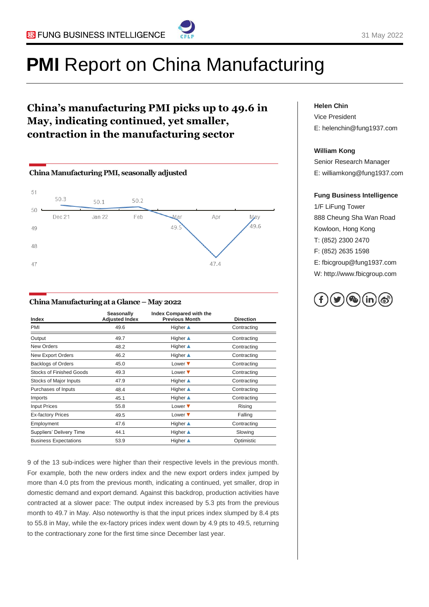

#### 31 May 2022

# **PMI** Report on China Manufacturing

### **China's manufacturing PMI picks up to 49.6 in May, indicating continued, yet smaller, contraction in the manufacturing sector**



#### **China Manufacturing at a Glance –May 2022**

| Index                           | Seasonally<br><b>Adjusted Index</b> | Index Compared with the<br><b>Previous Month</b> | <b>Direction</b> |
|---------------------------------|-------------------------------------|--------------------------------------------------|------------------|
| PMI                             | 49.6                                | <b>Higher</b> ▲                                  | Contracting      |
| Output                          | 49.7                                | <b>Higher</b> ▲                                  | Contracting      |
| New Orders                      | 48.2                                | Higher $\triangle$                               | Contracting      |
| New Export Orders               | 46.2                                | <b>Higher</b> ▲                                  | Contracting      |
| <b>Backlogs of Orders</b>       | 45.0                                | Lower $\blacktriangledown$                       | Contracting      |
| <b>Stocks of Finished Goods</b> | 49.3                                | Lower $\blacktriangledown$                       | Contracting      |
| Stocks of Major Inputs          | 47.9                                | <b>Higher</b> ▲                                  | Contracting      |
| Purchases of Inputs             | 48.4                                | <b>Higher</b> ▲                                  | Contracting      |
| Imports                         | 45.1                                | <b>Higher</b> ▲                                  | Contracting      |
| <b>Input Prices</b>             | 55.8                                | Lower $\blacktriangledown$                       | Rising           |
| <b>Ex-factory Prices</b>        | 49.5                                | Lower $\blacktriangledown$                       | Falling          |
| Employment                      | 47.6                                | <b>Higher</b> ▲                                  | Contracting      |
| Suppliers' Delivery Time        | 44.1                                | <b>Higher</b> ▲                                  | Slowing          |
| <b>Business Expectations</b>    | 53.9                                | <b>Higher</b> ▲                                  | Optimistic       |

9 of the 13 sub-indices were higher than their respective levels in the previous month. For example, both the new orders index and the new export orders index jumped by more than 4.0 pts from the previous month, indicating a continued, yet smaller, drop in domestic demand and export demand. Against this backdrop, production activities have contracted at a slower pace: The output index increased by 5.3 pts from the previous month to 49.7 in May. Also noteworthy is that the input prices index slumped by 8.4 pts to 55.8 in May, while the ex-factory prices index went down by 4.9 pts to 49.5, returning to the contractionary zone for the first time since December last year.

#### **Helen Chin**

Vice President E: helenchin@fung1937.com

#### **William Kong**

Senior Research Manager E: williamkong@fung1937.com

#### **Fung Business Intelligence**

1/F LiFung Tower 888 Cheung Sha Wan Road Kowloon, Hong Kong T: (852) 2300 2470 F: (852) 2635 1598 E: fbicgroup@fung1937.com W: http://www.fbicgroup.com

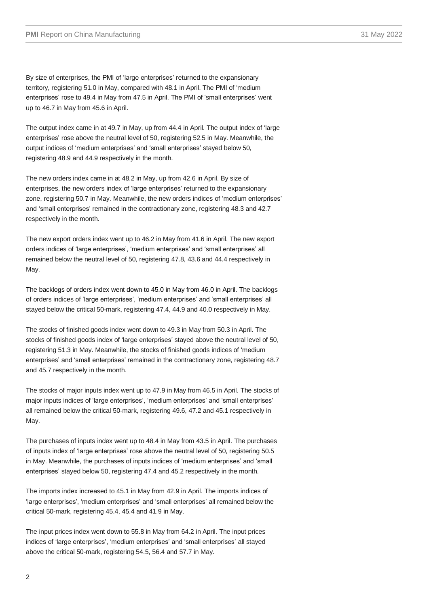The output index came in at 49.7 in May, up from 44.4 in April. The output index of 'large enterprises' rose above the neutral level of 50, registering 52.5 in May. Meanwhile, the output indices of 'medium enterprises' and 'small enterprises' stayed below 50, registering 48.9 and 44.9 respectively in the month.

The new orders index came in at 48.2 in May, up from 42.6 in April. By size of enterprises, the new orders index of 'large enterprises' returned to the expansionary zone, registering 50.7 in May. Meanwhile, the new orders indices of 'medium enterprises' and 'small enterprises' remained in the contractionary zone, registering 48.3 and 42.7 respectively in the month.

The new export orders index went up to 46.2 in May from 41.6 in April. The new export orders indices of 'large enterprises', 'medium enterprises' and 'small enterprises' all remained below the neutral level of 50, registering 47.8, 43.6 and 44.4 respectively in May.

The backlogs of orders index went down to 45.0 in May from 46.0 in April. The backlogs of orders indices of 'large enterprises', 'medium enterprises' and 'small enterprises' all stayed below the critical 50-mark, registering 47.4, 44.9 and 40.0 respectively in May.

The stocks of finished goods index went down to 49.3 in May from 50.3 in April. The stocks of finished goods index of 'large enterprises' stayed above the neutral level of 50, registering 51.3 in May. Meanwhile, the stocks of finished goods indices of 'medium enterprises' and 'small enterprises' remained in the contractionary zone, registering 48.7 and 45.7 respectively in the month.

The stocks of major inputs index went up to 47.9 in May from 46.5 in April. The stocks of major inputs indices of 'large enterprises', 'medium enterprises' and 'small enterprises' all remained below the critical 50-mark, registering 49.6, 47.2 and 45.1 respectively in May.

The purchases of inputs index went up to 48.4 in May from 43.5 in April. The purchases of inputs index of 'large enterprises' rose above the neutral level of 50, registering 50.5 in May. Meanwhile, the purchases of inputs indices of 'medium enterprises' and 'small enterprises' stayed below 50, registering 47.4 and 45.2 respectively in the month.

The imports index increased to 45.1 in May from 42.9 in April. The imports indices of 'large enterprises', 'medium enterprises' and 'small enterprises' all remained below the critical 50-mark, registering 45.4, 45.4 and 41.9 in May.

The input prices index went down to 55.8 in May from 64.2 in April. The input prices indices of 'large enterprises', 'medium enterprises' and 'small enterprises' all stayed above the critical 50-mark, registering 54.5, 56.4 and 57.7 in May.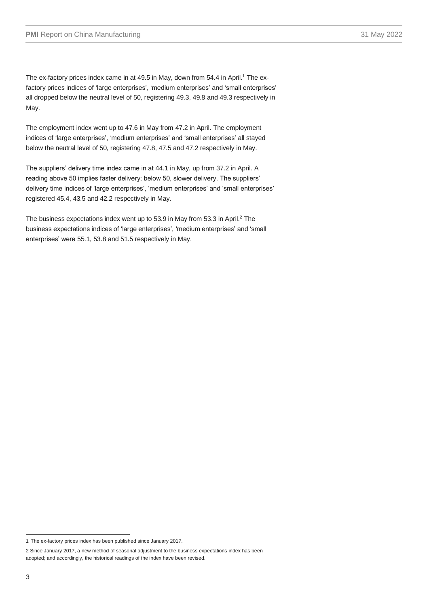The ex-factory prices index came in at 49.5 in May, down from 54.4 in April. <sup>1</sup> The exfactory prices indices of 'large enterprises', 'medium enterprises' and 'small enterprises' all dropped below the neutral level of 50, registering 49.3, 49.8 and 49.3 respectively in May.

The employment index went up to 47.6 in May from 47.2 in April. The employment indices of 'large enterprises', 'medium enterprises' and 'small enterprises' all stayed below the neutral level of 50, registering 47.8, 47.5 and 47.2 respectively in May.

The suppliers' delivery time index came in at 44.1 in May, up from 37.2 in April. A reading above 50 implies faster delivery; below 50, slower delivery. The suppliers' delivery time indices of 'large enterprises', 'medium enterprises' and 'small enterprises' registered 45.4, 43.5 and 42.2 respectively in May.

The business expectations index went up to 53.9 in May from 53.3 in April. <sup>2</sup> The business expectations indices of 'large enterprises', 'medium enterprises' and 'small enterprises' were 55.1, 53.8 and 51.5 respectively in May.

<sup>1</sup> The ex-factory prices index has been published since January 2017.

<sup>2</sup> Since January 2017, a new method of seasonal adjustment to the business expectations index has been adopted; and accordingly, the historical readings of the index have been revised.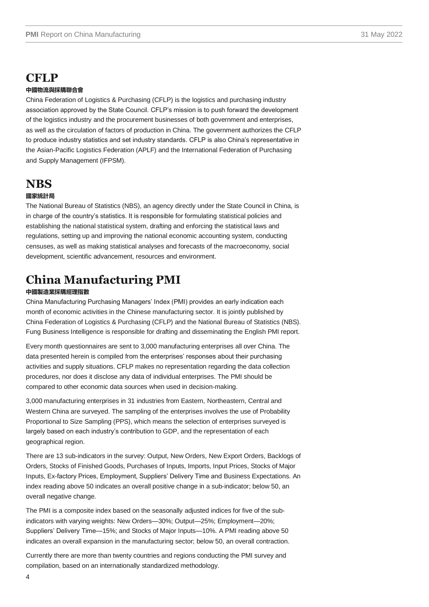## **CFLP**

#### **中國物流與採購聯合會**

China Federation of Logistics & Purchasing (CFLP) is the logistics and purchasing industry association approved by the State Council. CFLP's mission is to push forward the development of the logistics industry and the procurement businesses of both government and enterprises, as well as the circulation of factors of production in China. The government authorizes the CFLP to produce industry statistics and set industry standards. CFLP is also China's representative in the Asian-Pacific Logistics Federation (APLF) and the International Federation of Purchasing and Supply Management (IFPSM).

### **NBS**

#### **國家統計局**

The National Bureau of Statistics (NBS), an agency directly under the State Council in China, is in charge of the country's statistics. It is responsible for formulating statistical policies and establishing the national statistical system, drafting and enforcing the statistical laws and regulations, setting up and improving the national economic accounting system, conducting censuses, as well as making statistical analyses and forecasts of the macroeconomy, social development, scientific advancement, resources and environment.

## **China Manufacturing PMI**

#### **中國製造業採購經理指數**

China Manufacturing Purchasing Managers' Index (PMI) provides an early indication each month of economic activities in the Chinese manufacturing sector. It is jointly published by China Federation of Logistics & Purchasing (CFLP) and the National Bureau of Statistics (NBS). Fung Business Intelligence is responsible for drafting and disseminating the English PMI report.

Every month questionnaires are sent to 3,000 manufacturing enterprises all over China. The data presented herein is compiled from the enterprises' responses about their purchasing activities and supply situations. CFLP makes no representation regarding the data collection procedures, nor does it disclose any data of individual enterprises. The PMI should be compared to other economic data sources when used in decision-making.

3,000 manufacturing enterprises in 31 industries from Eastern, Northeastern, Central and Western China are surveyed. The sampling of the enterprises involves the use of Probability Proportional to Size Sampling (PPS), which means the selection of enterprises surveyed is largely based on each industry's contribution to GDP, and the representation of each geographical region.

There are 13 sub-indicators in the survey: Output, New Orders, New Export Orders, Backlogs of Orders, Stocks of Finished Goods, Purchases of Inputs, Imports, Input Prices, Stocks of Major Inputs, Ex-factory Prices, Employment, Suppliers' Delivery Time and Business Expectations. An index reading above 50 indicates an overall positive change in a sub-indicator; below 50, an overall negative change.

The PMI is a composite index based on the seasonally adjusted indices for five of the subindicators with varying weights: New Orders—30%; Output—25%; Employment—20%; Suppliers' Delivery Time—15%; and Stocks of Major Inputs—10%. A PMI reading above 50 indicates an overall expansion in the manufacturing sector; below 50, an overall contraction.

Currently there are more than twenty countries and regions conducting the PMI survey and compilation, based on an internationally standardized methodology.